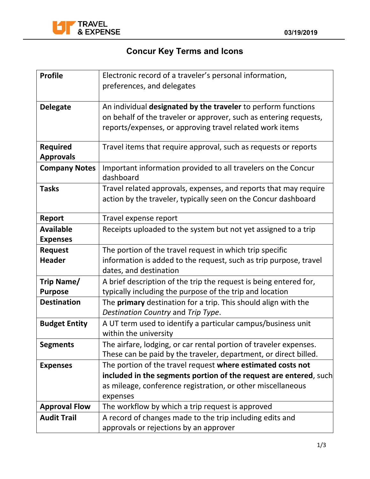

## **Concur Key Terms and Icons**

| <b>Profile</b>                      | Electronic record of a traveler's personal information,<br>preferences, and delegates                                                                                                          |  |
|-------------------------------------|------------------------------------------------------------------------------------------------------------------------------------------------------------------------------------------------|--|
|                                     |                                                                                                                                                                                                |  |
| <b>Delegate</b>                     | An individual designated by the traveler to perform functions<br>on behalf of the traveler or approver, such as entering requests,<br>reports/expenses, or approving travel related work items |  |
| <b>Required</b><br><b>Approvals</b> | Travel items that require approval, such as requests or reports                                                                                                                                |  |
| <b>Company Notes</b>                | Important information provided to all travelers on the Concur<br>dashboard                                                                                                                     |  |
| <b>Tasks</b>                        | Travel related approvals, expenses, and reports that may require<br>action by the traveler, typically seen on the Concur dashboard                                                             |  |
| <b>Report</b>                       | Travel expense report                                                                                                                                                                          |  |
| <b>Available</b><br><b>Expenses</b> | Receipts uploaded to the system but not yet assigned to a trip                                                                                                                                 |  |
| <b>Request</b>                      | The portion of the travel request in which trip specific                                                                                                                                       |  |
| <b>Header</b>                       | information is added to the request, such as trip purpose, travel<br>dates, and destination                                                                                                    |  |
| Trip Name/<br><b>Purpose</b>        | A brief description of the trip the request is being entered for,<br>typically including the purpose of the trip and location                                                                  |  |
| <b>Destination</b>                  | The <b>primary</b> destination for a trip. This should align with the<br>Destination Country and Trip Type.                                                                                    |  |
| <b>Budget Entity</b>                | A UT term used to identify a particular campus/business unit<br>within the university                                                                                                          |  |
| <b>Segments</b>                     | The airfare, lodging, or car rental portion of traveler expenses.<br>These can be paid by the traveler, department, or direct billed.                                                          |  |
| <b>Expenses</b>                     | The portion of the travel request where estimated costs not                                                                                                                                    |  |
|                                     | included in the segments portion of the request are entered, such                                                                                                                              |  |
|                                     | as mileage, conference registration, or other miscellaneous                                                                                                                                    |  |
|                                     | expenses                                                                                                                                                                                       |  |
| <b>Approval Flow</b>                | The workflow by which a trip request is approved                                                                                                                                               |  |
| <b>Audit Trail</b>                  | A record of changes made to the trip including edits and                                                                                                                                       |  |
|                                     | approvals or rejections by an approver                                                                                                                                                         |  |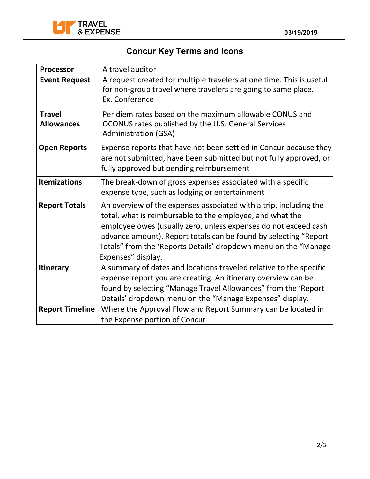

## **Concur Key Terms and Icons**

| <b>Processor</b>                   | A travel auditor                                                                                                                                                                                                                                                                                                                                               |  |
|------------------------------------|----------------------------------------------------------------------------------------------------------------------------------------------------------------------------------------------------------------------------------------------------------------------------------------------------------------------------------------------------------------|--|
| <b>Event Request</b>               | A request created for multiple travelers at one time. This is useful<br>for non-group travel where travelers are going to same place.<br>Ex. Conference                                                                                                                                                                                                        |  |
| <b>Travel</b><br><b>Allowances</b> | Per diem rates based on the maximum allowable CONUS and<br>OCONUS rates published by the U.S. General Services<br><b>Administration (GSA)</b>                                                                                                                                                                                                                  |  |
| <b>Open Reports</b>                | Expense reports that have not been settled in Concur because they<br>are not submitted, have been submitted but not fully approved, or<br>fully approved but pending reimbursement                                                                                                                                                                             |  |
| <b>Itemizations</b>                | The break-down of gross expenses associated with a specific<br>expense type, such as lodging or entertainment                                                                                                                                                                                                                                                  |  |
| <b>Report Totals</b>               | An overview of the expenses associated with a trip, including the<br>total, what is reimbursable to the employee, and what the<br>employee owes (usually zero, unless expenses do not exceed cash<br>advance amount). Report totals can be found by selecting "Report<br>Totals" from the 'Reports Details' dropdown menu on the "Manage<br>Expenses" display. |  |
| <b>Itinerary</b>                   | A summary of dates and locations traveled relative to the specific<br>expense report you are creating. An itinerary overview can be<br>found by selecting "Manage Travel Allowances" from the 'Report<br>Details' dropdown menu on the "Manage Expenses" display.                                                                                              |  |
| <b>Report Timeline</b>             | Where the Approval Flow and Report Summary can be located in<br>the Expense portion of Concur                                                                                                                                                                                                                                                                  |  |